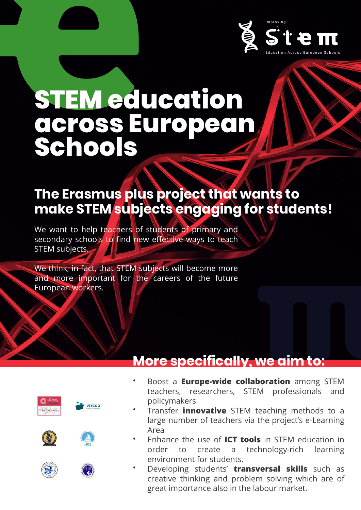

# **STEM education across European Schools**

## **The Erasmus plus project that wants to make STEM subjects engaging for students!**

We want to help teachers of students of primary and secondary schools to find new effective ways to teach STEM subjects.

We think, in fact, that STEM subjects will become more and more important for the careers of the future European workers.

#### **More specifically, we aim to:**







VITECO



- Boost a **Europe-wide collaboration** among STEM teachers, researchers, STEM professionals and policymakers •
- Transfer **innovative** STEM teaching methods to a large number of teachers via the project's e-Learning Area •
- Enhance the use of **ICT tools** in STEM education in order to create a technology-rich learning environment for students. •
- Developing students' **transversal skills** such as creative thinking and problem solving which are of great importance also in the labour market. •